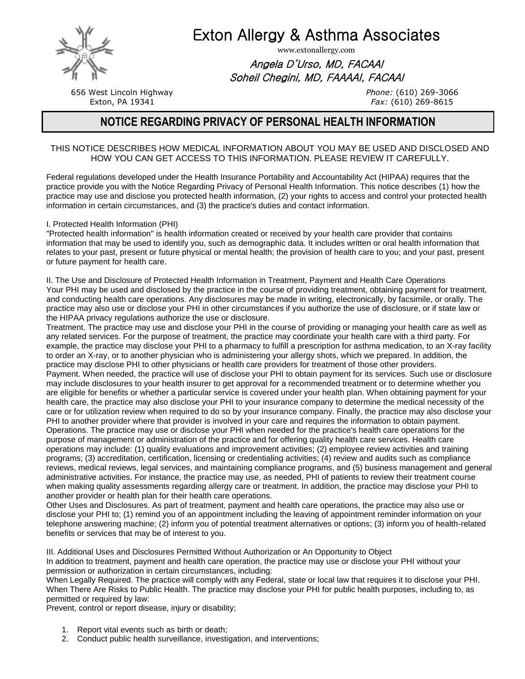

Exton Allergy & Asthma Associates

www.extonallergy.com

Angela D'Urso, MD, FACAAI Soheil Chegini, MD, FAAAAI, FACAAI

> *Phone:* (610) 269-3066 *Fax:* (610) 269-8615

656 West Lincoln Highway Exton, PA 19341

# **NOTICE REGARDING PRIVACY OF PERSONAL HEALTH INFORMATION**

## THIS NOTICE DESCRIBES HOW MEDICAL INFORMATION ABOUT YOU MAY BE USED AND DISCLOSED AND HOW YOU CAN GET ACCESS TO THIS INFORMATION. PLEASE REVIEW IT CAREFULLY.

Federal regulations developed under the Health Insurance Portability and Accountability Act (HIPAA) requires that the practice provide you with the Notice Regarding Privacy of Personal Health Information. This notice describes (1) how the practice may use and disclose you protected health information, (2) your rights to access and control your protected health information in certain circumstances, and (3) the practice's duties and contact information.

I. Protected Health Information (PHI)

"Protected health information" is health information created or received by your health care provider that contains information that may be used to identify you, such as demographic data. It includes written or oral health information that relates to your past, present or future physical or mental health; the provision of health care to you; and your past, present or future payment for health care.

II. The Use and Disclosure of Protected Health Information in Treatment, Payment and Health Care Operations Your PHI may be used and disclosed by the practice in the course of providing treatment, obtaining payment for treatment, and conducting health care operations. Any disclosures may be made in writing, electronically, by facsimile, or orally. The practice may also use or disclose your PHI in other circumstances if you authorize the use of disclosure, or if state law or the HIPAA privacy regulations authorize the use or disclosure.

Treatment. The practice may use and disclose your PHI in the course of providing or managing your health care as well as any related services. For the purpose of treatment, the practice may coordinate your health care with a third party. For example, the practice may disclose your PHI to a pharmacy to fulfill a prescription for asthma medication, to an X-ray facility to order an X-ray, or to another physician who is administering your allergy shots, which we prepared. In addition, the practice may disclose PHI to other physicians or health care providers for treatment of those other providers. Payment. When needed, the practice will use of disclose your PHI to obtain payment for its services. Such use or disclosure may include disclosures to your health insurer to get approval for a recommended treatment or to determine whether you are eligible for benefits or whether a particular service is covered under your health plan. When obtaining payment for your health care, the practice may also disclose your PHI to your insurance company to determine the medical necessity of the care or for utilization review when required to do so by your insurance company. Finally, the practice may also disclose your PHI to another provider where that provider is involved in your care and requires the information to obtain payment. Operations. The practice may use or disclose your PHI when needed for the practice's health care operations for the purpose of management or administration of the practice and for offering quality health care services. Health care operations may include: (1) quality evaluations and improvement activities; (2) employee review activities and training programs; (3) accreditation, certification, licensing or credentialing activities; (4) review and audits such as compliance reviews, medical reviews, legal services, and maintaining compliance programs, and (5) business management and general administrative activities. For instance, the practice may use, as needed, PHI of patients to review their treatment course when making quality assessments regarding allergy care or treatment. In addition, the practice may disclose your PHI to another provider or health plan for their health care operations.

Other Uses and Disclosures. As part of treatment, payment and health care operations, the practice may also use or disclose your PHI to; (1) remind you of an appointment including the leaving of appointment reminder information on your telephone answering machine; (2) inform you of potential treatment alternatives or options; (3) inform you of health-related benefits or services that may be of interest to you.

III. Additional Uses and Disclosures Permitted Without Authorization or An Opportunity to Object In addition to treatment, payment and health care operation, the practice may use or disclose your PHI without your permission or authorization in certain circumstances, including:

When Legally Required. The practice will comply with any Federal, state or local law that requires it to disclose your PHI. When There Are Risks to Public Health. The practice may disclose your PHI for public health purposes, including to, as permitted or required by law:

Prevent, control or report disease, injury or disability;

- 1. Report vital events such as birth or death;
- 2. Conduct public health surveillance, investigation, and interventions;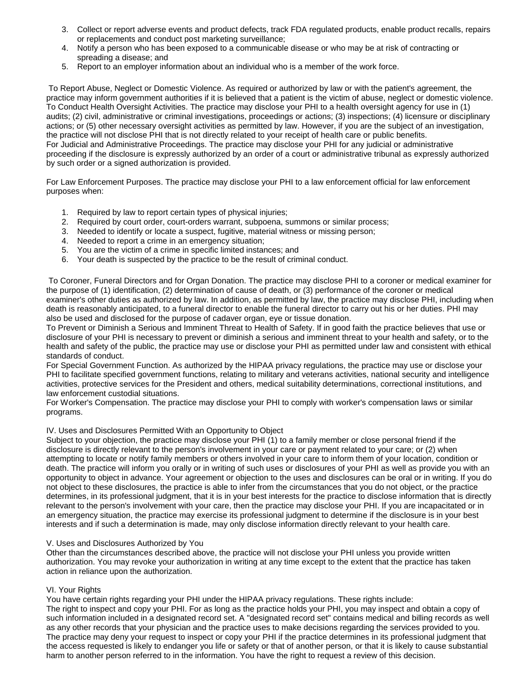- 3. Collect or report adverse events and product defects, track FDA regulated products, enable product recalls, repairs or replacements and conduct post marketing surveillance;
- 4. Notify a person who has been exposed to a communicable disease or who may be at risk of contracting or spreading a disease; and
- 5. Report to an employer information about an individual who is a member of the work force.

To Report Abuse, Neglect or Domestic Violence. As required or authorized by law or with the patient's agreement, the practice may inform government authorities if it is believed that a patient is the victim of abuse, neglect or domestic violence. To Conduct Health Oversight Activities. The practice may disclose your PHI to a health oversight agency for use in (1) audits; (2) civil, administrative or criminal investigations, proceedings or actions; (3) inspections; (4) licensure or disciplinary actions; or (5) other necessary oversight activities as permitted by law. However, if you are the subject of an investigation, the practice will not disclose PHI that is not directly related to your receipt of health care or public benefits. For Judicial and Administrative Proceedings. The practice may disclose your PHI for any judicial or administrative proceeding if the disclosure is expressly authorized by an order of a court or administrative tribunal as expressly authorized by such order or a signed authorization is provided.

For Law Enforcement Purposes. The practice may disclose your PHI to a law enforcement official for law enforcement purposes when:

- 1. Required by law to report certain types of physical injuries;
- 2. Required by court order, court-orders warrant, subpoena, summons or similar process;
- 3. Needed to identify or locate a suspect, fugitive, material witness or missing person;
- 4. Needed to report a crime in an emergency situation;
- 5. You are the victim of a crime in specific limited instances; and
- 6. Your death is suspected by the practice to be the result of criminal conduct.

To Coroner, Funeral Directors and for Organ Donation. The practice may disclose PHI to a coroner or medical examiner for the purpose of (1) identification, (2) determination of cause of death, or (3) performance of the coroner or medical examiner's other duties as authorized by law. In addition, as permitted by law, the practice may disclose PHI, including when death is reasonably anticipated, to a funeral director to enable the funeral director to carry out his or her duties. PHI may also be used and disclosed for the purpose of cadaver organ, eye or tissue donation.

To Prevent or Diminish a Serious and Imminent Threat to Health of Safety. If in good faith the practice believes that use or disclosure of your PHI is necessary to prevent or diminish a serious and imminent threat to your health and safety, or to the health and safety of the public, the practice may use or disclose your PHI as permitted under law and consistent with ethical standards of conduct.

For Special Government Function. As authorized by the HIPAA privacy regulations, the practice may use or disclose your PHI to facilitate specified government functions, relating to military and veterans activities, national security and intelligence activities, protective services for the President and others, medical suitability determinations, correctional institutions, and law enforcement custodial situations.

For Worker's Compensation. The practice may disclose your PHI to comply with worker's compensation laws or similar programs.

### IV. Uses and Disclosures Permitted With an Opportunity to Object

Subject to your objection, the practice may disclose your PHI (1) to a family member or close personal friend if the disclosure is directly relevant to the person's involvement in your care or payment related to your care; or (2) when attempting to locate or notify family members or others involved in your care to inform them of your location, condition or death. The practice will inform you orally or in writing of such uses or disclosures of your PHI as well as provide you with an opportunity to object in advance. Your agreement or objection to the uses and disclosures can be oral or in writing. If you do not object to these disclosures, the practice is able to infer from the circumstances that you do not object, or the practice determines, in its professional judgment, that it is in your best interests for the practice to disclose information that is directly relevant to the person's involvement with your care, then the practice may disclose your PHI. If you are incapacitated or in an emergency situation, the practice may exercise its professional judgment to determine if the disclosure is in your best interests and if such a determination is made, may only disclose information directly relevant to your health care.

#### V. Uses and Disclosures Authorized by You

Other than the circumstances described above, the practice will not disclose your PHI unless you provide written authorization. You may revoke your authorization in writing at any time except to the extent that the practice has taken action in reliance upon the authorization.

#### VI. Your Rights

You have certain rights regarding your PHI under the HIPAA privacy regulations. These rights include: The right to inspect and copy your PHI. For as long as the practice holds your PHI, you may inspect and obtain a copy of such information included in a designated record set. A "designated record set" contains medical and billing records as well as any other records that your physician and the practice uses to make decisions regarding the services provided to you. The practice may deny your request to inspect or copy your PHI if the practice determines in its professional judgment that the access requested is likely to endanger you life or safety or that of another person, or that it is likely to cause substantial harm to another person referred to in the information. You have the right to request a review of this decision.